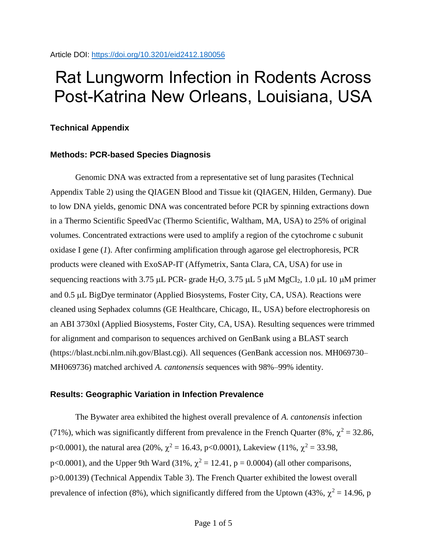# Rat Lungworm Infection in Rodents Across Post-Katrina New Orleans, Louisiana, USA

## **Technical Appendix**

### **Methods: PCR-based Species Diagnosis**

Genomic DNA was extracted from a representative set of lung parasites (Technical Appendix Table 2) using the QIAGEN Blood and Tissue kit (QIAGEN, Hilden, Germany). Due to low DNA yields, genomic DNA was concentrated before PCR by spinning extractions down in a Thermo Scientific SpeedVac (Thermo Scientific, Waltham, MA, USA) to 25% of original volumes. Concentrated extractions were used to amplify a region of the cytochrome c subunit oxidase I gene (*1*). After confirming amplification through agarose gel electrophoresis, PCR products were cleaned with ExoSAP-IT (Affymetrix, Santa Clara, CA, USA) for use in sequencing reactions with 3.75  $\mu$ L PCR- grade H<sub>2</sub>O, 3.75  $\mu$ L 5  $\mu$ M MgCl<sub>2</sub>, 1.0  $\mu$ L 10  $\mu$ M primer and 0.5 µL BigDye terminator (Applied Biosystems, Foster City, CA, USA). Reactions were cleaned using Sephadex columns (GE Healthcare, Chicago, IL, USA) before electrophoresis on an ABI 3730xl (Applied Biosystems, Foster City, CA, USA). Resulting sequences were trimmed for alignment and comparison to sequences archived on GenBank using a BLAST search (https://blast.ncbi.nlm.nih.gov/Blast.cgi). All sequences (GenBank accession nos. MH069730– MH069736) matched archived *A. cantonensis* sequences with 98%–99% identity.

### **Results: Geographic Variation in Infection Prevalence**

The Bywater area exhibited the highest overall prevalence of *A. cantonensis* infection (71%), which was significantly different from prevalence in the French Quarter (8%,  $\chi^2$  = 32.86, p<0.0001), the natural area (20%,  $\chi^2 = 16.43$ , p<0.0001), Lakeview (11%,  $\chi^2 = 33.98$ , p<0.0001), and the Upper 9th Ward (31%,  $\chi^2 = 12.41$ , p = 0.0004) (all other comparisons, p>0.00139) (Technical Appendix Table 3). The French Quarter exhibited the lowest overall prevalence of infection (8%), which significantly differed from the Uptown (43%,  $\chi^2$  = 14.96, p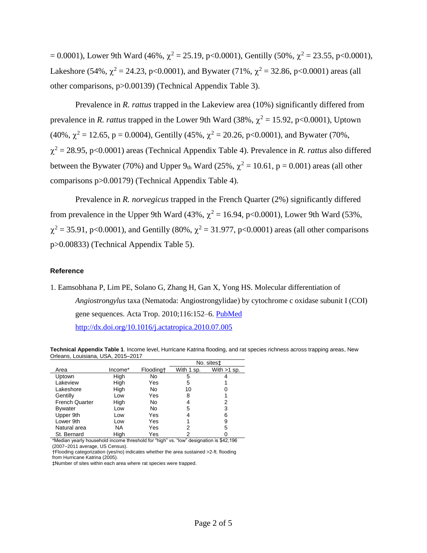$= 0.0001$ ), Lower 9th Ward (46%,  $\chi^2 = 25.19$ , p<0.0001), Gentilly (50%,  $\chi^2 = 23.55$ , p<0.0001), Lakeshore (54%,  $\chi^2 = 24.23$ , p<0.0001), and Bywater (71%,  $\chi^2 = 32.86$ , p<0.0001) areas (all other comparisons, p>0.00139) (Technical Appendix Table 3).

Prevalence in *R. rattus* trapped in the Lakeview area (10%) significantly differed from prevalence in *R. rattus* trapped in the Lower 9th Ward (38%,  $\chi^2 = 15.92$ , p<0.0001), Uptown (40%,  $\chi^2 = 12.65$ , p = 0.0004), Gentilly (45%,  $\chi^2 = 20.26$ , p<0.0001), and Bywater (70%,  $\chi^2$  = 28.95, p<0.0001) areas (Technical Appendix Table 4). Prevalence in *R. rattus* also differed between the Bywater (70%) and Upper  $9<sub>th</sub>$  Ward (25%,  $\chi^2 = 10.61$ , p = 0.001) areas (all other comparisons p>0.00179) (Technical Appendix Table 4).

Prevalence in *R. norvegicus* trapped in the French Quarter (2%) significantly differed from prevalence in the Upper 9th Ward (43%,  $\chi^2$  = 16.94, p<0.0001), Lower 9th Ward (53%,  $\chi^2$  = 35.91, p<0.0001), and Gentilly (80%,  $\chi^2$  = 31.977, p<0.0001) areas (all other comparisons p>0.00833) (Technical Appendix Table 5).

#### **Reference**

1. Eamsobhana P, Lim PE, Solano G, Zhang H, Gan X, Yong HS. Molecular differentiation of *Angiostrongylus* taxa (Nematoda: Angiostrongylidae) by cytochrome c oxidase subunit I (COI) gene sequences. Acta Trop. 2010;116:152-6. [PubMed](https://www.ncbi.nlm.nih.gov/entrez/query.fcgi?cmd=Retrieve&db=PubMed&list_uids=20654571&dopt=Abstract)

<http://dx.doi.org/10.1016/j.actatropica.2010.07.005>

**Technical Appendix Table 1**. Income level, Hurricane Katrina flooding, and rat species richness across trapping areas, New Orleans, Louisiana, USA, 2015–2017

|                       |           |           |            | No. sitest    |
|-----------------------|-----------|-----------|------------|---------------|
| Area                  | Income*   | Floodingt | With 1 sp. | With $>1$ sp. |
| Uptown                | High      | No        | 5          |               |
| Lakeview              | High      | Yes       | 5          |               |
| Lakeshore             | High      | No        | 10         |               |
| Gentilly              | Low       | Yes       | 8          |               |
| <b>French Quarter</b> | High      | No        | 4          | 2             |
| <b>Bywater</b>        | Low       | No        | 5          | 3             |
| Upper 9th             | Low       | Yes       |            | 6             |
| Lower 9th             | Low       | Yes       |            | 9             |
| Natural area          | <b>NA</b> | Yes       | 2          | 5             |
| St. Bernard           | High      | Yes       |            |               |

\*Median yearly household income threshold for "high" vs. "low" designation is \$42,196 (2007–2011 average, US Census).

†Flooding categorization (yes/no) indicates whether the area sustained >2-ft. flooding from Hurricane Katrina (2005).

‡Number of sites within each area where rat species were trapped.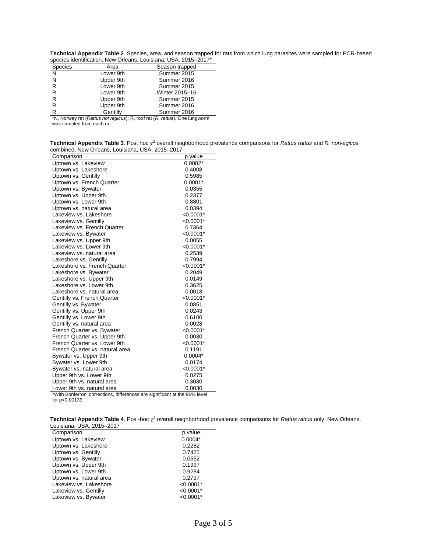| Technical Appendix Table 2. Species, area, and season trapped for rats from which lung parasites were sampled for PCR-based |  |  |  |
|-----------------------------------------------------------------------------------------------------------------------------|--|--|--|
| species identification, New Orleans, Louisiana, USA, 2015–2017*                                                             |  |  |  |

|           | opooloo ladiniiloandii, richi Officano, Edalolana, Oori, Zoro Zorr |
|-----------|--------------------------------------------------------------------|
| Area      | Season trapped                                                     |
| Lower 9th | Summer 2015                                                        |
| Upper 9th | Summer 2016                                                        |
| Lower 9th | Summer 2015                                                        |
| Lower 9th | Winter 2015-16                                                     |
| Upper 9th | Summer 2015                                                        |
| Upper 9th | Summer 2016                                                        |
| Gentilly  | Summer 2016                                                        |
|           |                                                                    |

\*N, Norway rat (*Rattus norvegicus*); R, roof rat (*R. rattus*). One lungworm was sampled from each rat.

| Technical Appendix Table 3. Post hoc $\chi^2$ overall neighborhood prevalence comparisons for Rattus rattus and R. norvegicus |  |  |
|-------------------------------------------------------------------------------------------------------------------------------|--|--|
| combined, New Orleans, Louisiana, USA, 2015–2017                                                                              |  |  |
| $\sim$ $\sim$ $\sim$ $\sim$                                                                                                   |  |  |

| Comparison                                                                                               | p value     |
|----------------------------------------------------------------------------------------------------------|-------------|
| Uptown vs. Lakeview                                                                                      | $0.0002*$   |
| Uptown vs. Lakeshore                                                                                     | 0.4008      |
| Uptown vs. Gentilly                                                                                      | 0.5985      |
| Uptown vs. French Quarter                                                                                | $0.0001*$   |
| Uptown vs. Bywater                                                                                       | 0.0355      |
| Uptown vs. Upper 9th                                                                                     | 0.2377      |
| Uptown vs. Lower 9th                                                                                     | 0.8801      |
| Uptown vs. natural area                                                                                  | 0.0394      |
| Lakeview vs. Lakeshore                                                                                   | $< 0.0001*$ |
| Lakeview vs. Gentilly                                                                                    | $< 0.0001*$ |
| Lakeview vs. French Quarter                                                                              | 0.7364      |
| Lakeview vs. Bywater                                                                                     | $< 0.0001*$ |
| Lakeview vs. Upper 9th                                                                                   | 0.0055      |
| Lakeview vs. Lower 9th                                                                                   | $< 0.0001*$ |
| Lakeview vs. natural area                                                                                | 0.2539      |
| Lakeshore vs. Gentilly                                                                                   | 0.7994      |
| Lakeshore vs. French Quarter                                                                             | $< 0.0001*$ |
| Lakeshore vs. Bywater                                                                                    | 0.2049      |
| Lakeshore vs. Upper 9th                                                                                  | 0.0149      |
| Lakeshore vs. Lower 9th                                                                                  | 0.3625      |
| Lakeshore vs. natural area                                                                               | 0.0018      |
| Gentilly vs. French Quarter                                                                              | $< 0.0001*$ |
| Gentilly vs. Bywater                                                                                     | 0.0851      |
| Gentilly vs. Upper 9th                                                                                   | 0.0243      |
| Gentilly vs. Lower 9th                                                                                   | 0.6100      |
| Gentilly vs. natural area                                                                                | 0.0028      |
| French Quarter vs. Bywater                                                                               | $< 0.0001*$ |
| French Quarter vs. Upper 9th                                                                             | 0.0030      |
| French Quarter vs. Lower 9th                                                                             | $< 0.0001*$ |
| French Quarter vs. natural area                                                                          | 0.1191      |
| Bywater vs. Upper 9th                                                                                    | $0.0004*$   |
| Bywater vs. Lower 9th                                                                                    | 0.0174      |
| Bywater vs. natural area                                                                                 | $< 0.0001*$ |
| Upper 9th vs. Lower 9th                                                                                  | 0.0275      |
| Upper 9th vs. natural area                                                                               | 0.3080      |
| Lower 9th vs. natural area<br>*With Bonforroni corrections, differences are significant at the 05% lovel | 0.0030      |

\*With Bonferroni corrections, differences are significant at the 95% level for p<0.00139.

Technical Appendix Table 4. Pos -hoc  $\chi^2$  overall neighborhood prevalence comparisons for *Rattus rattus* only, New Orleans, Louisiana, USA, 2015–2017

| Comparison              | p value     |
|-------------------------|-------------|
| Uptown vs. Lakeview     | $0.0004*$   |
| Uptown vs. Lakeshore    | 0.2282      |
| Uptown vs. Gentilly     | 0.7425      |
| Uptown vs. Bywater      | 0.0552      |
| Uptown vs. Upper 9th    | 0.1997      |
| Uptown vs. Lower 9th    | 0.9284      |
| Uptown vs. natural area | 0.2737      |
| Lakeview vs. Lakeshore  | $< 0.0001*$ |
| Lakeview vs. Gentilly   | $< 0.0001*$ |
| Lakeview vs. Bywater    | $< 0.0001*$ |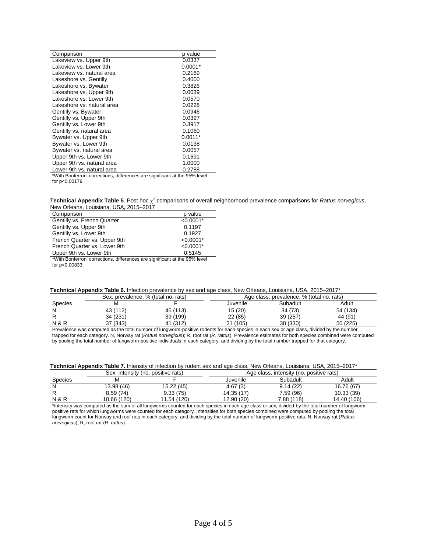| Comparison                                                                 | p value   |
|----------------------------------------------------------------------------|-----------|
| Lakeview vs. Upper 9th                                                     | 0.0337    |
| Lakeview vs. Lower 9th                                                     | $0.0001*$ |
| Lakeview vs. natural area                                                  | 0.2169    |
| Lakeshore vs. Gentilly                                                     | 0.4000    |
| Lakeshore vs. Bywater                                                      | 0.3826    |
| Lakeshore vs. Upper 9th                                                    | 0.0039    |
| Lakeshore vs. Lower 9th                                                    | 0.0570    |
| Lakeshore vs. natural area                                                 | 0.0228    |
| Gentilly vs. Bywater                                                       | 0.0946    |
| Gentilly vs. Upper 9th                                                     | 0.0397    |
| Gentilly vs. Lower 9th                                                     | 0.3917    |
| Gentilly vs. natural area                                                  | 0.1060    |
| Bywater vs. Upper 9th                                                      | $0.0011*$ |
| Bywater vs. Lower 9th                                                      | 0.0138    |
| Bywater vs. natural area                                                   | 0.0057    |
| Upper 9th vs. Lower 9th                                                    | 0.1691    |
| Upper 9th vs. natural area                                                 | 1.0000    |
| Lower 9th vs. natural area                                                 | 0.2788    |
| *With Bonferroni corrections, differences are significant at the 95% level |           |
| for p<0.00179.                                                             |           |

**Technical Appendix Table 5**. Post hoc <sup>2</sup> comparisons of overall neighborhood prevalence comparisons for *Rattus norvegicus*, New Orleans, Louisiana, USA, 2015–2017

| Comparison                                                                 | p value     |  |  |
|----------------------------------------------------------------------------|-------------|--|--|
| Gentilly vs. French Quarter                                                | $< 0.0001*$ |  |  |
| Gentilly vs. Upper 9th                                                     | 0.1197      |  |  |
| Gentilly vs. Lower 9th                                                     | 0.1927      |  |  |
| French Quarter vs. Upper 9th                                               | $< 0.0001*$ |  |  |
| French Quarter vs. Lower 9th                                               | $< 0.0001*$ |  |  |
| Upper 9th vs. Lower 9th                                                    | 0.5145      |  |  |
| *With Bonferroni corrections, differences are significant at the 95% level |             |  |  |
| for p<0.00833.                                                             |             |  |  |

|  |  |  | Technical Appendix Table 6. Infection prevalence by sex and age class, New Orleans, Louisiana, USA, 2015–2017* |  |
|--|--|--|----------------------------------------------------------------------------------------------------------------|--|
|--|--|--|----------------------------------------------------------------------------------------------------------------|--|

|                | Sex, prevalence, % (total no. rats) |          | Age class, prevalence, % (total no. rats) |          |          |
|----------------|-------------------------------------|----------|-------------------------------------------|----------|----------|
| Species        |                                     |          | Juvenile                                  | Subadult | Adult    |
| N              | 43 (112)                            | 45 (113) | 15 (20)                                   | 34 (73)  | 54 (134) |
|                | 34 (231)                            | 39 (199) | 22 (85)                                   | 39 (257) | 44 (91)  |
| <b>N&amp;R</b> | 37 (343)                            | 41 (312) | 21 (105)                                  | 38 (330) | 50 (225) |
|                |                                     |          |                                           |          |          |

Prevalence was computed as the total number of lungworm-positive rodents for each species in each sex or age class, divided by the number trapped for each category. N, Norway rat (*Rattus norvegicus*); R, roof rat (*R. rattus*). Prevalence estimates for both species combined were computed by pooling the total number of lungworm-positive individuals in each category, and dividing by the total number trapped for that category.

|  | Technical Appendix Table 7. Intensity of infection by rodent sex and age class, New Orleans, Louisiana, USA, 2015-2017* |  |
|--|-------------------------------------------------------------------------------------------------------------------------|--|
|--|-------------------------------------------------------------------------------------------------------------------------|--|

|                  | Sex, intensity (no. positive rats) |             | Age class, intensity (no. positive rats) |            |             |
|------------------|------------------------------------|-------------|------------------------------------------|------------|-------------|
| Species          | м                                  |             | Juvenile                                 | Subadult   | Adult       |
| N                | 13.98 (46)                         | 15.22 (45)  | 4.67(3)                                  | 9.14(22)   | 16.76 (67)  |
|                  | 8.59(74)                           | 9.33(75)    | 14.35 (17)                               | 7.59 (96)  | 10.33(39)   |
| <b>N &amp; R</b> | 10.66 (120)                        | 11.54 (120) | 12.90 (20)                               | 7.88 (118) | 14.40 (106) |

\*Intensity was computed as the sum of all lungworms counted for each species in each age class or sex, divided by the total number of lungwormpositive rats for which lungworms were counted for each category. Intensities for both species combined were computed by pooling the total lungworm count for Norway and roof rats in each category, and dividing by the total number of lungworm-positive rats. N, Norway rat (*Rattus norvegicus*); R, roof rat (*R. rattus*).